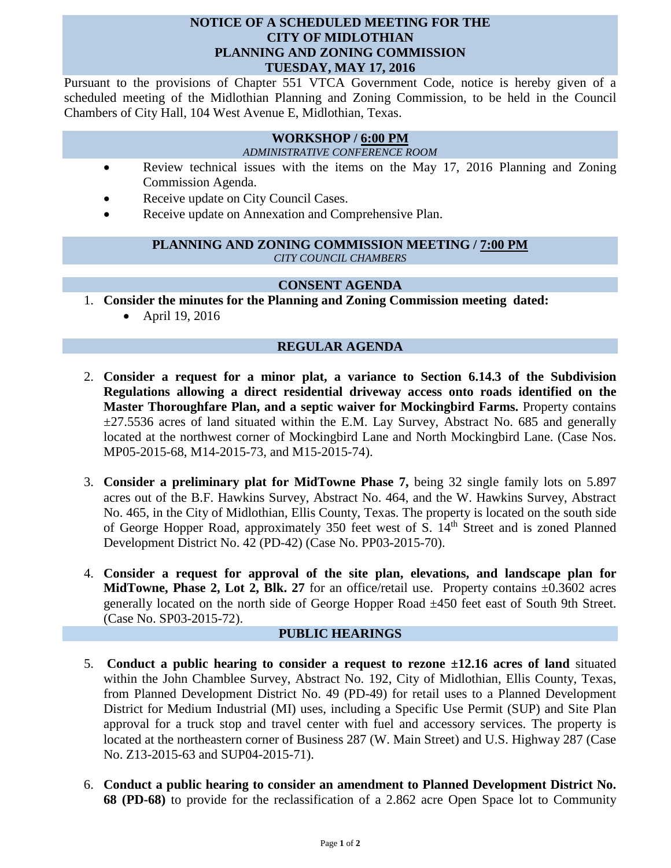#### **NOTICE OF A SCHEDULED MEETING FOR THE CITY OF MIDLOTHIAN PLANNING AND ZONING COMMISSION TUESDAY, MAY 17, 2016**

Pursuant to the provisions of Chapter 551 VTCA Government Code, notice is hereby given of a scheduled meeting of the Midlothian Planning and Zoning Commission, to be held in the Council Chambers of City Hall, 104 West Avenue E, Midlothian, Texas.

# **WORKSHOP / 6:00 PM**

*ADMINISTRATIVE CONFERENCE ROOM*

- Review technical issues with the items on the May 17, 2016 Planning and Zoning Commission Agenda.
- Receive update on City Council Cases.
- Receive update on Annexation and Comprehensive Plan.

#### **PLANNING AND ZONING COMMISSION MEETING / 7:00 PM** *CITY COUNCIL CHAMBERS*

## **CONSENT AGENDA**

- 1. **Consider the minutes for the Planning and Zoning Commission meeting dated:** 
	- April 19, 2016

## **REGULAR AGENDA**

- 2. **Consider a request for a minor plat, a variance to Section 6.14.3 of the Subdivision Regulations allowing a direct residential driveway access onto roads identified on the Master Thoroughfare Plan, and a septic waiver for Mockingbird Farms.** Property contains  $\pm$ 27.5536 acres of land situated within the E.M. Lay Survey, Abstract No. 685 and generally located at the northwest corner of Mockingbird Lane and North Mockingbird Lane. (Case Nos. MP05-2015-68, M14-2015-73, and M15-2015-74).
- 3. **Consider a preliminary plat for MidTowne Phase 7,** being 32 single family lots on 5.897 acres out of the B.F. Hawkins Survey, Abstract No. 464, and the W. Hawkins Survey, Abstract No. 465, in the City of Midlothian, Ellis County, Texas. The property is located on the south side of George Hopper Road, approximately 350 feet west of S. 14<sup>th</sup> Street and is zoned Planned Development District No. 42 (PD-42) (Case No. PP03-2015-70).
- 4. **Consider a request for approval of the site plan, elevations, and landscape plan for MidTowne, Phase 2, Lot 2, Blk. 27** for an office/retail use. Property contains  $\pm 0.3602$  acres generally located on the north side of George Hopper Road ±450 feet east of South 9th Street. (Case No. SP03-2015-72).

## **PUBLIC HEARINGS**

- 5. **Conduct a public hearing to consider a request to rezone ±12.16 acres of land** situated within the John Chamblee Survey, Abstract No. 192, City of Midlothian, Ellis County, Texas, from Planned Development District No. 49 (PD-49) for retail uses to a Planned Development District for Medium Industrial (MI) uses, including a Specific Use Permit (SUP) and Site Plan approval for a truck stop and travel center with fuel and accessory services. The property is located at the northeastern corner of Business 287 (W. Main Street) and U.S. Highway 287 (Case No. Z13-2015-63 and SUP04-2015-71).
- 6. **Conduct a public hearing to consider an amendment to Planned Development District No. 68 (PD-68)** to provide for the reclassification of a 2.862 acre Open Space lot to Community